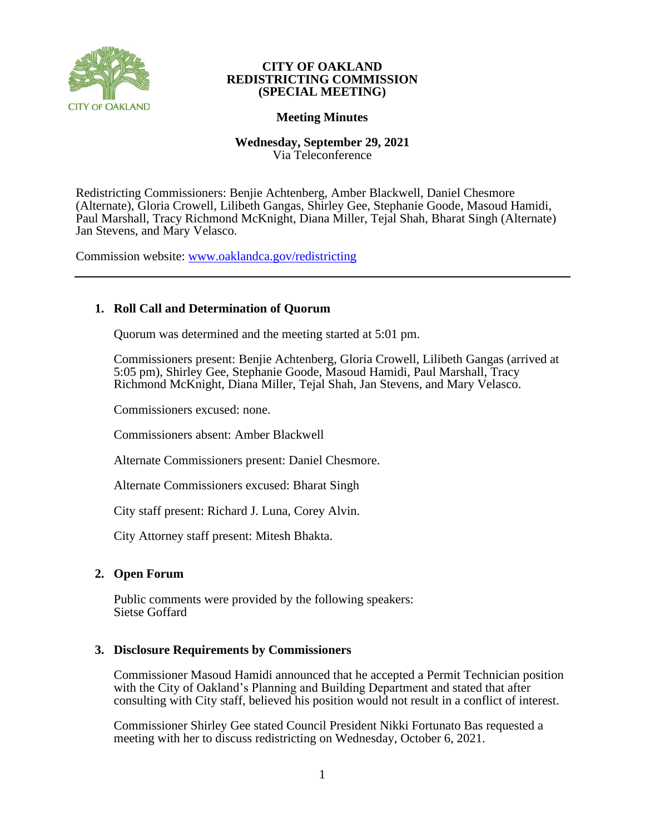

#### **CITY OF OAKLAND REDISTRICTING COMMISSION (SPECIAL MEETING)**

### **Meeting Minutes**

### **Wednesday, September 29, 2021** Via Teleconference

Redistricting Commissioners: Benjie Achtenberg, Amber Blackwell, Daniel Chesmore (Alternate), Gloria Crowell, Lilibeth Gangas, Shirley Gee, Stephanie Goode, Masoud Hamidi, Paul Marshall, Tracy Richmond McKnight, Diana Miller, Tejal Shah, Bharat Singh (Alternate) Jan Stevens, and Mary Velasco.

Commission website: [www.oaklandca.gov/redistricting](https://www.oaklandca.gov/boards-commissions/redistricting-commission/meetings)

# **1. Roll Call and Determination of Quorum**

Quorum was determined and the meeting started at 5:01 pm.

Commissioners present: Benjie Achtenberg, Gloria Crowell, Lilibeth Gangas (arrived at 5:05 pm), Shirley Gee, Stephanie Goode, Masoud Hamidi, Paul Marshall, Tracy Richmond McKnight, Diana Miller, Tejal Shah, Jan Stevens, and Mary Velasco.

Commissioners excused: none.

Commissioners absent: Amber Blackwell

Alternate Commissioners present: Daniel Chesmore.

Alternate Commissioners excused: Bharat Singh

City staff present: Richard J. Luna, Corey Alvin.

City Attorney staff present: Mitesh Bhakta.

### **2. Open Forum**

Public comments were provided by the following speakers: Sietse Goffard

### **3. Disclosure Requirements by Commissioners**

Commissioner Masoud Hamidi announced that he accepted a Permit Technician position with the City of Oakland's Planning and Building Department and stated that after consulting with City staff, believed his position would not result in a conflict of interest.

Commissioner Shirley Gee stated Council President Nikki Fortunato Bas requested a meeting with her to discuss redistricting on Wednesday, October 6, 2021.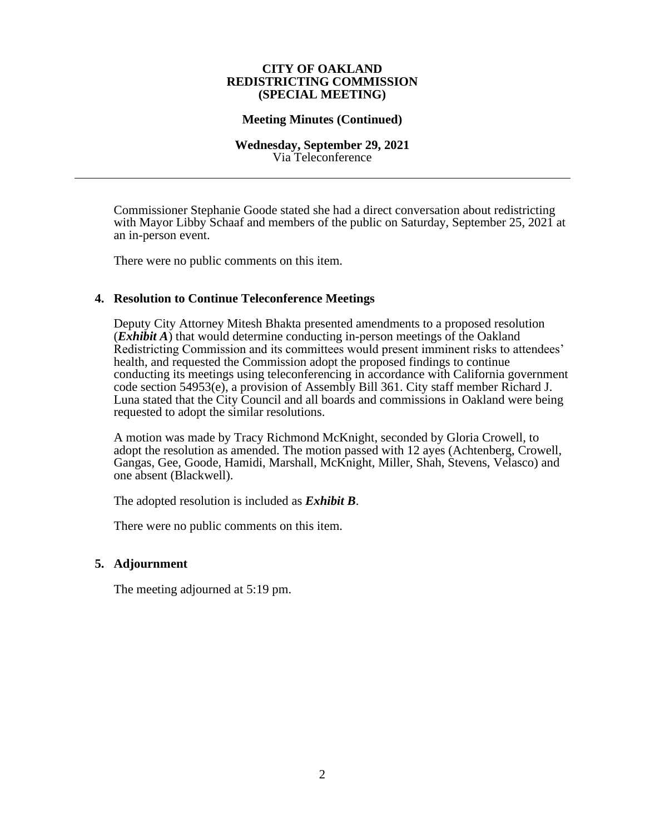#### **CITY OF OAKLAND REDISTRICTING COMMISSION (SPECIAL MEETING)**

#### **Meeting Minutes (Continued)**

#### **Wednesday, September 29, 2021** Via Teleconference

Commissioner Stephanie Goode stated she had a direct conversation about redistricting with Mayor Libby Schaaf and members of the public on Saturday, September 25, 2021 at an in-person event.

There were no public comments on this item.

### **4. Resolution to Continue Teleconference Meetings**

Deputy City Attorney Mitesh Bhakta presented amendments to a proposed resolution (*Exhibit A*) that would determine conducting in-person meetings of the Oakland Redistricting Commission and its committees would present imminent risks to attendees' health, and requested the Commission adopt the proposed findings to continue conducting its meetings using teleconferencing in accordance with California government code section 54953(e), a provision of Assembly Bill 361. City staff member Richard J. Luna stated that the City Council and all boards and commissions in Oakland were being requested to adopt the similar resolutions.

A motion was made by Tracy Richmond McKnight, seconded by Gloria Crowell, to adopt the resolution as amended. The motion passed with 12 ayes (Achtenberg, Crowell, Gangas, Gee, Goode, Hamidi, Marshall, McKnight, Miller, Shah, Stevens, Velasco) and one absent (Blackwell).

The adopted resolution is included as *Exhibit B*.

There were no public comments on this item.

#### **5. Adjournment**

The meeting adjourned at 5:19 pm.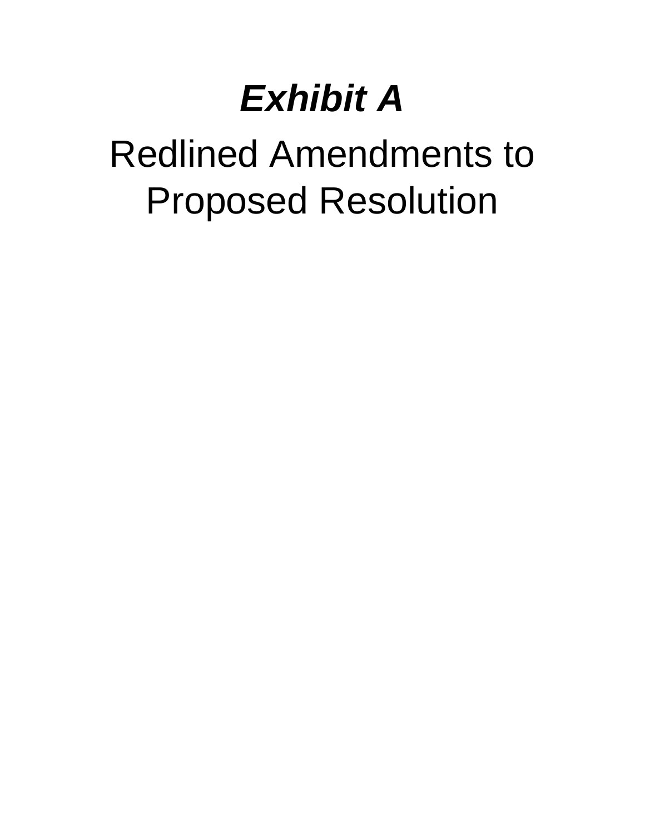# *Exhibit A*

# Redlined Amendments to Proposed Resolution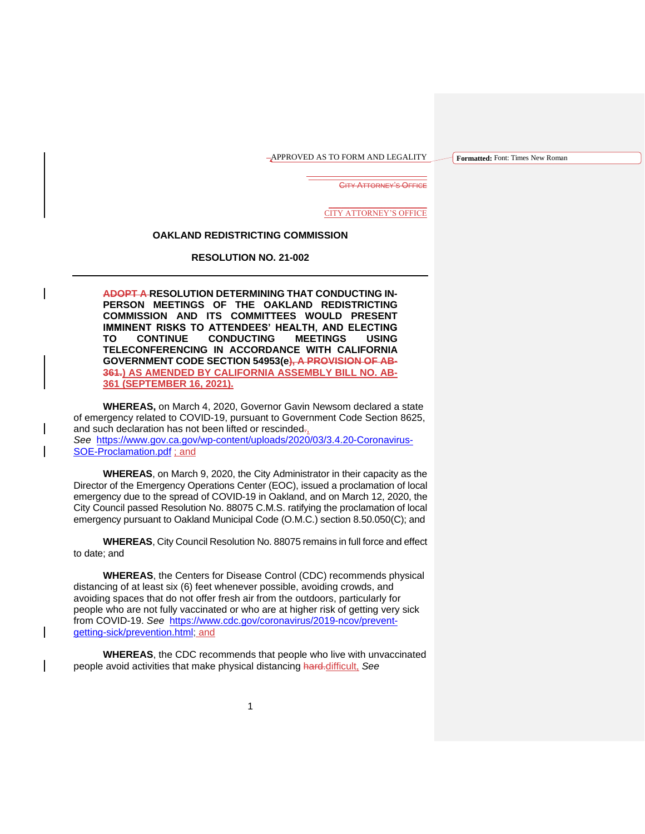APPROVED AS TO FORM AND LEGALITY

**Formatted:** Font: Times New Roman

 $\overline{\phantom{a}}$  , and the set of the set of the set of the set of the set of the set of the set of the set of the set of the set of the set of the set of the set of the set of the set of the set of the set of the set of the s CITY ATTORNEY'S OFFICE

> \_\_\_\_\_\_\_\_\_\_\_\_\_\_\_\_\_\_\_\_\_\_\_\_ CITY ATTORNEY'S OFFICE

#### **OAKLAND REDISTRICTING COMMISSION**

**RESOLUTION NO. 21-002**

**ADOPT A RESOLUTION DETERMINING THAT CONDUCTING IN-PERSON MEETINGS OF THE OAKLAND REDISTRICTING COMMISSION AND ITS COMMITTEES WOULD PRESENT IMMINENT RISKS TO ATTENDEES' HEALTH, AND ELECTING TO CONTINUE CONDUCTING MEETINGS USING TELECONFERENCING IN ACCORDANCE WITH CALIFORNIA GOVERNMENT CODE SECTION 54953(e), A PROVISION OF AB-361.) AS AMENDED BY CALIFORNIA ASSEMBLY BILL NO. AB-361 (SEPTEMBER 16, 2021).**

**WHEREAS,** on March 4, 2020, Governor Gavin Newsom declared a state of emergency related to COVID-19, pursuant to Government Code Section 8625, and such declaration has not been lifted or rescinded.

*See* [https://www.gov.ca.gov/wp-content/uploads/2020/03/3.4.20-Coronavirus-](https://www.gov.ca.gov/wp-content/uploads/2020/03/3.4.20-Coronavirus-SOE-Proclamation.pdf)[SOE-Proclamation.pdf](https://www.gov.ca.gov/wp-content/uploads/2020/03/3.4.20-Coronavirus-SOE-Proclamation.pdf) ; and

**WHEREAS**, on March 9, 2020, the City Administrator in their capacity as the Director of the Emergency Operations Center (EOC), issued a proclamation of local emergency due to the spread of COVID-19 in Oakland, and on March 12, 2020, the City Council passed Resolution No. 88075 C.M.S. ratifying the proclamation of local emergency pursuant to Oakland Municipal Code (O.M.C.) section 8.50.050(C); and

**WHEREAS**, City Council Resolution No. 88075 remains in full force and effect to date; and

**WHEREAS**, the Centers for Disease Control (CDC) recommends physical distancing of at least six (6) feet whenever possible, avoiding crowds, and avoiding spaces that do not offer fresh air from the outdoors, particularly for people who are not fully vaccinated or who are at higher risk of getting very sick from COVID-19. *See* [https://www.cdc.gov/coronavirus/2019-ncov/prevent](https://www.cdc.gov/coronavirus/2019-ncov/prevent-getting-sick/prevention.html)[getting-sick/prevention.html;](https://www.cdc.gov/coronavirus/2019-ncov/prevent-getting-sick/prevention.html) and

**WHEREAS**, the CDC recommends that people who live with unvaccinated people avoid activities that make physical distancing hard.difficult, *See*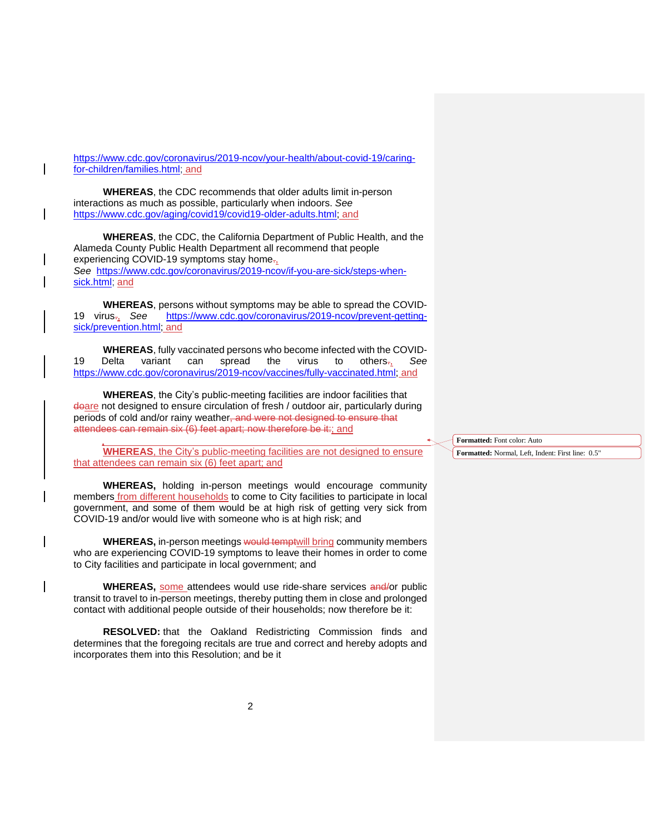[https://www.cdc.gov/coronavirus/2019-ncov/your-health/about-covid-19/caring](https://www.cdc.gov/coronavirus/2019-ncov/your-health/about-covid-19/caring-for-children/families.html)[for-children/families.html;](https://www.cdc.gov/coronavirus/2019-ncov/your-health/about-covid-19/caring-for-children/families.html) and

**WHEREAS**, the CDC recommends that older adults limit in-person interactions as much as possible, particularly when indoors. *See* [https://www.cdc.gov/aging/covid19/covid19-older-adults.html;](https://www.cdc.gov/aging/covid19/covid19-older-adults.html) and

**WHEREAS**, the CDC, the California Department of Public Health, and the Alameda County Public Health Department all recommend that people experiencing COVID-19 symptoms stay home<sub>71</sub> *See* [https://www.cdc.gov/coronavirus/2019-ncov/if-you-are-sick/steps-when](https://www.cdc.gov/coronavirus/2019-ncov/if-you-are-sick/steps-when-sick.html)[sick.html;](https://www.cdc.gov/coronavirus/2019-ncov/if-you-are-sick/steps-when-sick.html) and

**WHEREAS**, persons without symptoms may be able to spread the COVID-19 virus., *See* [https://www.cdc.gov/coronavirus/2019-ncov/prevent-getting](https://www.cdc.gov/coronavirus/2019-ncov/prevent-getting-sick/prevention.html)[sick/prevention.html;](https://www.cdc.gov/coronavirus/2019-ncov/prevent-getting-sick/prevention.html) and

**WHEREAS**, fully vaccinated persons who become infected with the COVID-19 Delta variant can spread the virus to others., *See* [https://www.cdc.gov/coronavirus/2019-ncov/vaccines/fully-vaccinated.html;](https://www.cdc.gov/coronavirus/2019-ncov/vaccines/fully-vaccinated.html) and

**WHEREAS**, the City's public-meeting facilities are indoor facilities that deare not designed to ensure circulation of fresh / outdoor air, particularly during periods of cold and/or rainy weather, and were not designed to ensure that attendees can remain six (6) feet apart; now therefore be it:; and

**WHEREAS**, the City's public-meeting facilities are not designed to ensure that attendees can remain six (6) feet apart; and

**WHEREAS,** holding in-person meetings would encourage community members from different households to come to City facilities to participate in local government, and some of them would be at high risk of getting very sick from COVID-19 and/or would live with someone who is at high risk; and

**WHEREAS, in-person meetings would temptwill bring community members** who are experiencing COVID-19 symptoms to leave their homes in order to come to City facilities and participate in local government; and

**WHEREAS,** some attendees would use ride-share services and/or public transit to travel to in-person meetings, thereby putting them in close and prolonged contact with additional people outside of their households; now therefore be it:

**RESOLVED:** that the Oakland Redistricting Commission finds and determines that the foregoing recitals are true and correct and hereby adopts and incorporates them into this Resolution; and be it

**Formatted:** Font color: Auto

**Formatted:** Normal, Left, Indent: First line: 0.5"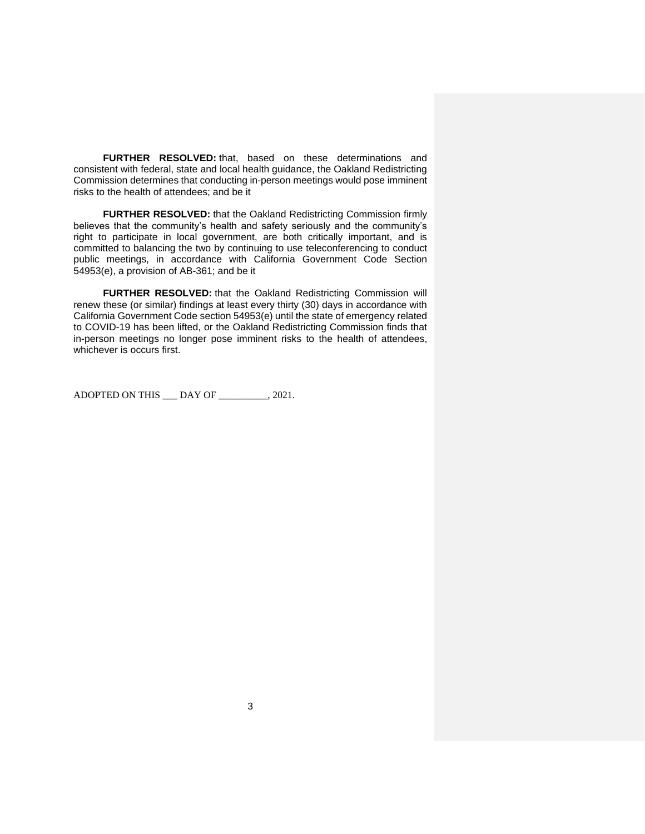**FURTHER RESOLVED:** that, based on these determinations and consistent with federal, state and local health guidance, the Oakland Redistricting Commission determines that conducting in-person meetings would pose imminent risks to the health of attendees; and be it

**FURTHER RESOLVED:** that the Oakland Redistricting Commission firmly believes that the community's health and safety seriously and the community's right to participate in local government, are both critically important, and is committed to balancing the two by continuing to use teleconferencing to conduct public meetings, in accordance with California Government Code Section 54953(e), a provision of AB-361; and be it

**FURTHER RESOLVED:** that the Oakland Redistricting Commission will renew these (or similar) findings at least every thirty (30) days in accordance with California Government Code section 54953(e) until the state of emergency related to COVID-19 has been lifted, or the Oakland Redistricting Commission finds that in-person meetings no longer pose imminent risks to the health of attendees, whichever is occurs first.

ADOPTED ON THIS \_\_\_ DAY OF \_\_\_\_\_\_\_\_, 2021.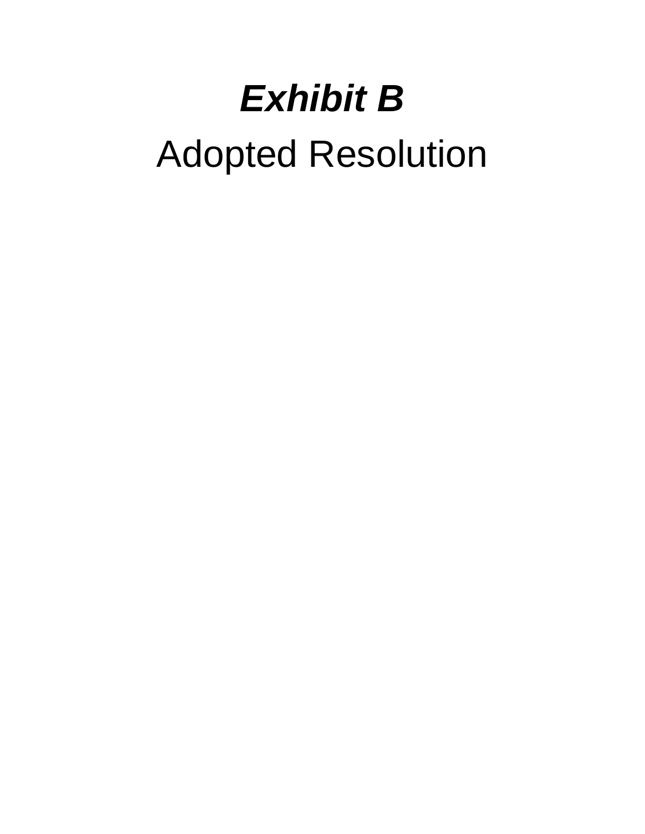# *Exhibit B*

# Adopted Resolution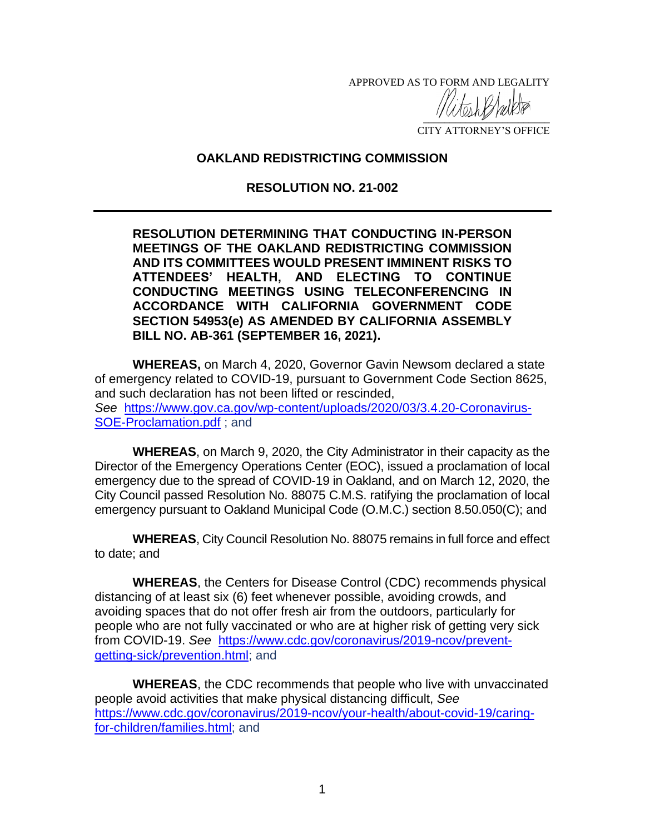APPROVED AS TO FORM AND LEGALITY

 $\frac{1}{2}$ CITY ATTORNEY'S OFFICE

# **OAKLAND REDISTRICTING COMMISSION**

# **RESOLUTION NO. 21-002**

**RESOLUTION DETERMINING THAT CONDUCTING IN-PERSON MEETINGS OF THE OAKLAND REDISTRICTING COMMISSION AND ITS COMMITTEES WOULD PRESENT IMMINENT RISKS TO ATTENDEES' HEALTH, AND ELECTING TO CONTINUE CONDUCTING MEETINGS USING TELECONFERENCING IN ACCORDANCE WITH CALIFORNIA GOVERNMENT CODE SECTION 54953(e) AS AMENDED BY CALIFORNIA ASSEMBLY BILL NO. AB-361 (SEPTEMBER 16, 2021).**

**WHEREAS,** on March 4, 2020, Governor Gavin Newsom declared a state of emergency related to COVID-19, pursuant to Government Code Section 8625, and such declaration has not been lifted or rescinded, *See* [https://www.gov.ca.gov/wp-content/uploads/2020/03/3.4.20-Coronavirus-](https://www.gov.ca.gov/wp-content/uploads/2020/03/3.4.20-Coronavirus-SOE-Proclamation.pdf)[SOE-Proclamation.pdf](https://www.gov.ca.gov/wp-content/uploads/2020/03/3.4.20-Coronavirus-SOE-Proclamation.pdf) ; and

**WHEREAS**, on March 9, 2020, the City Administrator in their capacity as the Director of the Emergency Operations Center (EOC), issued a proclamation of local emergency due to the spread of COVID-19 in Oakland, and on March 12, 2020, the City Council passed Resolution No. 88075 C.M.S. ratifying the proclamation of local emergency pursuant to Oakland Municipal Code (O.M.C.) section 8.50.050(C); and

**WHEREAS**, City Council Resolution No. 88075 remains in full force and effect to date; and

**WHEREAS**, the Centers for Disease Control (CDC) recommends physical distancing of at least six (6) feet whenever possible, avoiding crowds, and avoiding spaces that do not offer fresh air from the outdoors, particularly for people who are not fully vaccinated or who are at higher risk of getting very sick from COVID-19. *See* [https://www.cdc.gov/coronavirus/2019-ncov/prevent](https://www.cdc.gov/coronavirus/2019-ncov/prevent-getting-sick/prevention.html)[getting-sick/prevention.html;](https://www.cdc.gov/coronavirus/2019-ncov/prevent-getting-sick/prevention.html) and

**WHEREAS**, the CDC recommends that people who live with unvaccinated people avoid activities that make physical distancing difficult, *See* [https://www.cdc.gov/coronavirus/2019-ncov/your-health/about-covid-19/caring](https://www.cdc.gov/coronavirus/2019-ncov/your-health/about-covid-19/caring-for-children/families.html)[for-children/families.html;](https://www.cdc.gov/coronavirus/2019-ncov/your-health/about-covid-19/caring-for-children/families.html) and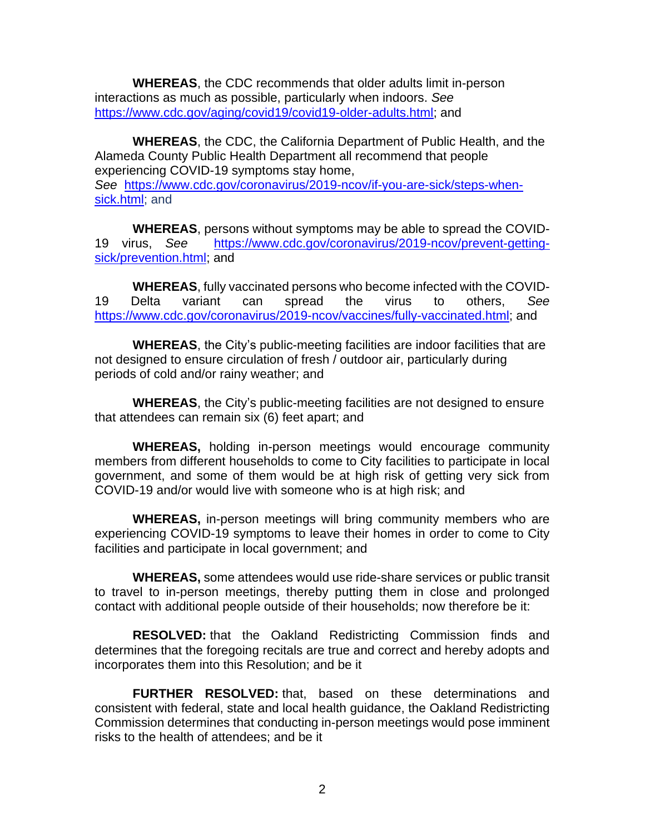**WHEREAS**, the CDC recommends that older adults limit in-person interactions as much as possible, particularly when indoors. *See* [https://www.cdc.gov/aging/covid19/covid19-older-adults.html;](https://www.cdc.gov/aging/covid19/covid19-older-adults.html) and

**WHEREAS**, the CDC, the California Department of Public Health, and the Alameda County Public Health Department all recommend that people experiencing COVID-19 symptoms stay home, *See* [https://www.cdc.gov/coronavirus/2019-ncov/if-you-are-sick/steps-when](https://www.cdc.gov/coronavirus/2019-ncov/if-you-are-sick/steps-when-sick.html)[sick.html;](https://www.cdc.gov/coronavirus/2019-ncov/if-you-are-sick/steps-when-sick.html) and

**WHEREAS**, persons without symptoms may be able to spread the COVID-19 virus, *See* [https://www.cdc.gov/coronavirus/2019-ncov/prevent-getting](https://www.cdc.gov/coronavirus/2019-ncov/prevent-getting-sick/prevention.html)[sick/prevention.html;](https://www.cdc.gov/coronavirus/2019-ncov/prevent-getting-sick/prevention.html) and

**WHEREAS**, fully vaccinated persons who become infected with the COVID-19 Delta variant can spread the virus to others, *See* [https://www.cdc.gov/coronavirus/2019-ncov/vaccines/fully-vaccinated.html;](https://www.cdc.gov/coronavirus/2019-ncov/vaccines/fully-vaccinated.html) and

**WHEREAS**, the City's public-meeting facilities are indoor facilities that are not designed to ensure circulation of fresh / outdoor air, particularly during periods of cold and/or rainy weather; and

**WHEREAS**, the City's public-meeting facilities are not designed to ensure that attendees can remain six (6) feet apart; and

**WHEREAS,** holding in-person meetings would encourage community members from different households to come to City facilities to participate in local government, and some of them would be at high risk of getting very sick from COVID-19 and/or would live with someone who is at high risk; and

**WHEREAS,** in-person meetings will bring community members who are experiencing COVID-19 symptoms to leave their homes in order to come to City facilities and participate in local government; and

**WHEREAS,** some attendees would use ride-share services or public transit to travel to in-person meetings, thereby putting them in close and prolonged contact with additional people outside of their households; now therefore be it:

**RESOLVED:** that the Oakland Redistricting Commission finds and determines that the foregoing recitals are true and correct and hereby adopts and incorporates them into this Resolution; and be it

**FURTHER RESOLVED:** that, based on these determinations and consistent with federal, state and local health guidance, the Oakland Redistricting Commission determines that conducting in-person meetings would pose imminent risks to the health of attendees; and be it